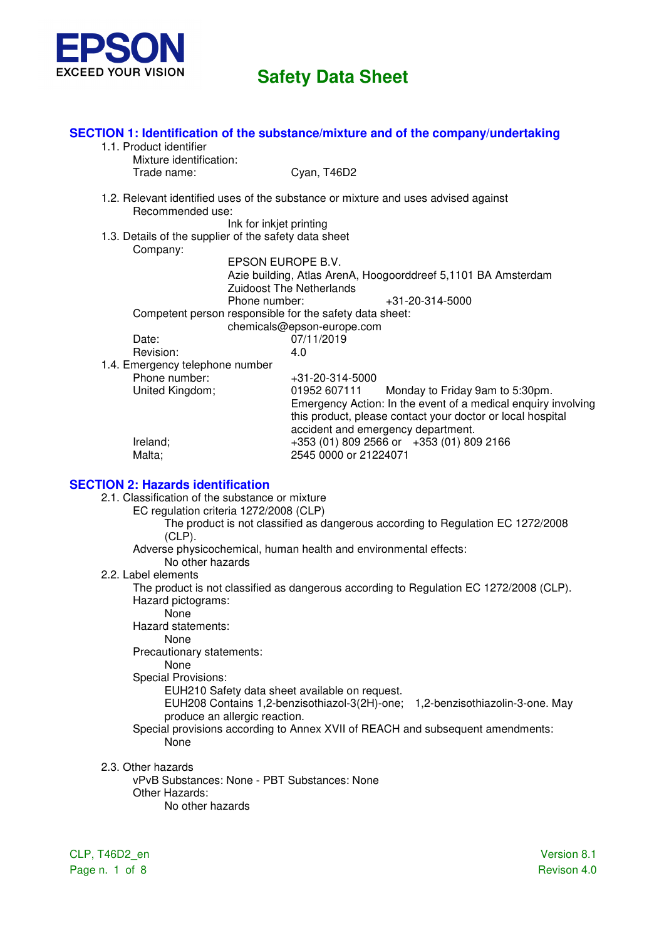

|                                                         | SECTION 1: Identification of the substance/mixture and of the company/undertaking  |  |  |  |
|---------------------------------------------------------|------------------------------------------------------------------------------------|--|--|--|
| 1.1. Product identifier                                 |                                                                                    |  |  |  |
| Mixture identification:<br>Trade name:                  | Cyan, T46D2                                                                        |  |  |  |
|                                                         |                                                                                    |  |  |  |
| Recommended use:                                        | 1.2. Relevant identified uses of the substance or mixture and uses advised against |  |  |  |
| Ink for inkjet printing                                 |                                                                                    |  |  |  |
| 1.3. Details of the supplier of the safety data sheet   |                                                                                    |  |  |  |
| Company:                                                |                                                                                    |  |  |  |
|                                                         | EPSON EUROPE B.V.                                                                  |  |  |  |
|                                                         | Azie building, Atlas ArenA, Hoogoorddreef 5,1101 BA Amsterdam                      |  |  |  |
|                                                         | <b>Zuidoost The Netherlands</b>                                                    |  |  |  |
| Phone number:                                           | $+31 - 20 - 314 - 5000$                                                            |  |  |  |
| Competent person responsible for the safety data sheet: |                                                                                    |  |  |  |
| chemicals@epson-europe.com                              |                                                                                    |  |  |  |
| Date:                                                   | 07/11/2019                                                                         |  |  |  |
| Revision:                                               | 4.0                                                                                |  |  |  |
| 1.4. Emergency telephone number                         |                                                                                    |  |  |  |
| Phone number:                                           | $+31-20-314-5000$                                                                  |  |  |  |
| United Kingdom;                                         | 01952 607111<br>Monday to Friday 9am to 5:30pm.                                    |  |  |  |
|                                                         | Emergency Action: In the event of a medical enquiry involving                      |  |  |  |
|                                                         | this product, please contact your doctor or local hospital                         |  |  |  |
|                                                         | accident and emergency department.                                                 |  |  |  |
| Ireland;                                                | +353 (01) 809 2566 or +353 (01) 809 2166                                           |  |  |  |
| Malta;                                                  | 2545 0000 or 21224071                                                              |  |  |  |
|                                                         |                                                                                    |  |  |  |
|                                                         |                                                                                    |  |  |  |

#### **SECTION 2: Hazards identification**

- 2.1. Classification of the substance or mixture
	- EC regulation criteria 1272/2008 (CLP)
		- The product is not classified as dangerous according to Regulation EC 1272/2008  $(CLP)$ .
		- Adverse physicochemical, human health and environmental effects:
			- No other hazards
- 2.2. Label elements

The product is not classified as dangerous according to Regulation EC 1272/2008 (CLP). Hazard pictograms:

- None
- Hazard statements:

None

Precautionary statements:

None

Special Provisions:

EUH210 Safety data sheet available on request.

EUH208 Contains 1,2-benzisothiazol-3(2H)-one; 1,2-benzisothiazolin-3-one. May produce an allergic reaction.

- Special provisions according to Annex XVII of REACH and subsequent amendments: None
- 2.3. Other hazards
	- vPvB Substances: None PBT Substances: None Other Hazards: No other hazards

CLP, T46D2\_en Version 8.1 Page n. 1 of 8 Revison 4.0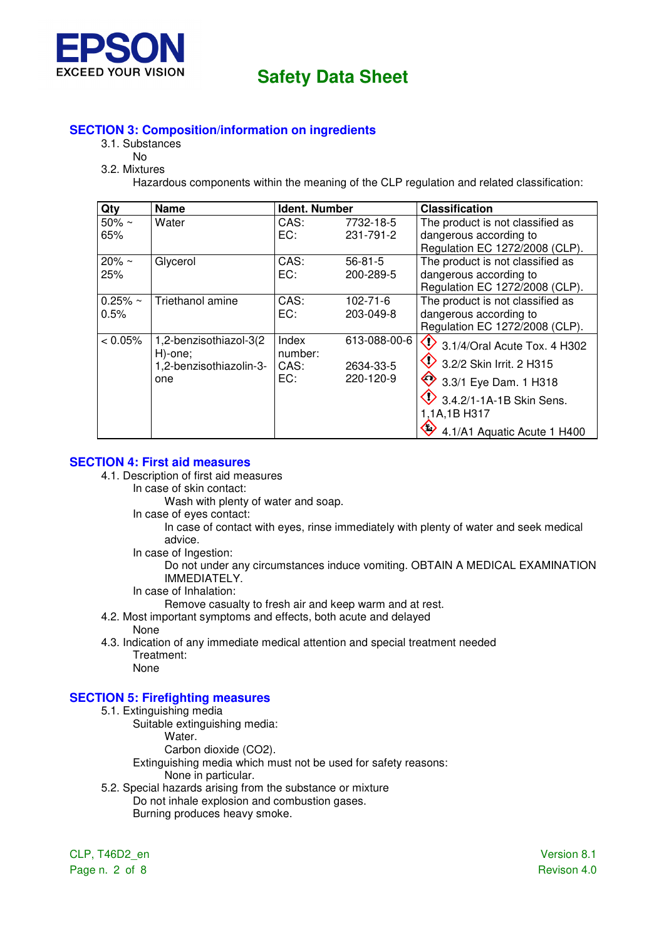

## **SECTION 3: Composition/information on ingredients**

- 3.1. Substances
	- No
- 3.2. Mixtures

Hazardous components within the meaning of the CLP regulation and related classification:

| Qty                  | <b>Name</b>                                                         | <b>Ident. Number</b>            |                                        | <b>Classification</b>                                                                                                                                                          |
|----------------------|---------------------------------------------------------------------|---------------------------------|----------------------------------------|--------------------------------------------------------------------------------------------------------------------------------------------------------------------------------|
| $50\% \sim$<br>65%   | Water                                                               | CAS:<br>EC:                     | 7732-18-5<br>231-791-2                 | The product is not classified as<br>dangerous according to                                                                                                                     |
|                      |                                                                     |                                 |                                        | Regulation EC 1272/2008 (CLP).                                                                                                                                                 |
| $20\% \sim$<br>25%   | Glycerol                                                            | CAS:<br>EC:                     | 56-81-5<br>200-289-5                   | The product is not classified as<br>dangerous according to<br>Regulation EC 1272/2008 (CLP).                                                                                   |
| $0.25% \sim$<br>0.5% | Triethanol amine                                                    | CAS:<br>EC:                     | $102 - 71 - 6$<br>203-049-8            | The product is not classified as<br>dangerous according to<br>Regulation EC 1272/2008 (CLP).                                                                                   |
| < 0.05%              | 1,2-benzisothiazol-3(2<br>H)-one;<br>1,2-benzisothiazolin-3-<br>one | Index<br>number:<br>CAS:<br>EC: | 613-088-00-6<br>2634-33-5<br>220-120-9 | $\bigcirc$ 3.1/4/Oral Acute Tox. 4 H302<br>3.2/2 Skin Irrit, 2 H315<br>3.3/1 Eye Dam. 1 H318<br>$\vee$ 3.4.2/1-1A-1B Skin Sens.<br>1,1A,1B H317<br>4.1/A1 Aquatic Acute 1 H400 |

## **SECTION 4: First aid measures**

- 4.1. Description of first aid measures
	- In case of skin contact:

Wash with plenty of water and soap.

In case of eyes contact:

In case of contact with eyes, rinse immediately with plenty of water and seek medical advice.

In case of Ingestion:

Do not under any circumstances induce vomiting. OBTAIN A MEDICAL EXAMINATION IMMEDIATELY.

In case of Inhalation:

Remove casualty to fresh air and keep warm and at rest.

- 4.2. Most important symptoms and effects, both acute and delayed
	- None
- 4.3. Indication of any immediate medical attention and special treatment needed Treatment: None

## **SECTION 5: Firefighting measures**

- 5.1. Extinguishing media
	- Suitable extinguishing media:
		- Water.
			- Carbon dioxide (CO2).

Extinguishing media which must not be used for safety reasons: None in particular.

5.2. Special hazards arising from the substance or mixture Do not inhale explosion and combustion gases. Burning produces heavy smoke.

CLP, T46D2\_en Version 8.1 Page n. 2 of 8 Revison 4.0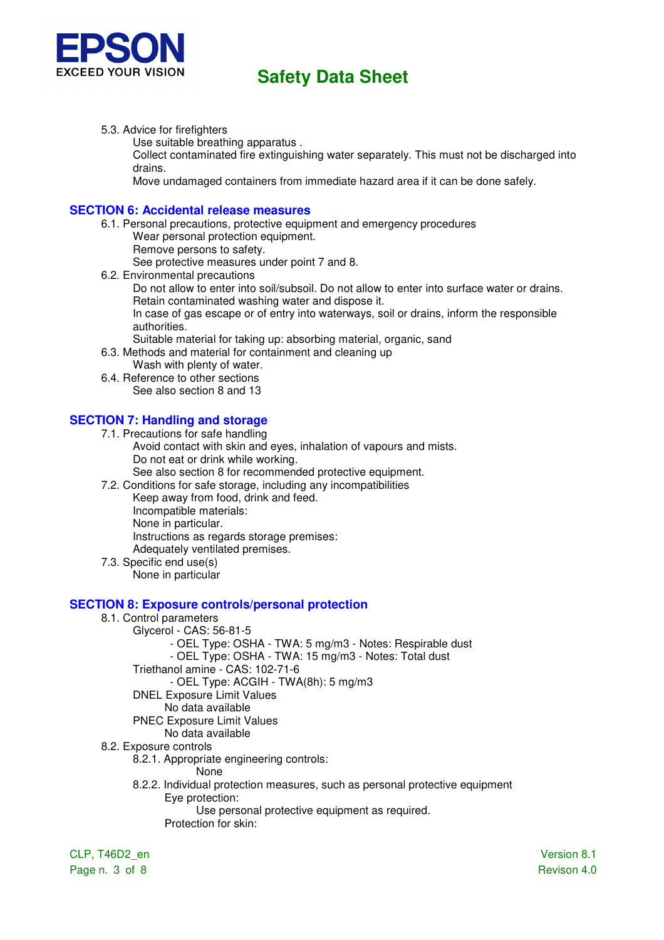

5.3. Advice for firefighters

Use suitable breathing apparatus .

Collect contaminated fire extinguishing water separately. This must not be discharged into drains.

Move undamaged containers from immediate hazard area if it can be done safely.

### **SECTION 6: Accidental release measures**

6.1. Personal precautions, protective equipment and emergency procedures Wear personal protection equipment. Remove persons to safety.

See protective measures under point 7 and 8.

6.2. Environmental precautions

Do not allow to enter into soil/subsoil. Do not allow to enter into surface water or drains. Retain contaminated washing water and dispose it.

In case of gas escape or of entry into waterways, soil or drains, inform the responsible authorities.

Suitable material for taking up: absorbing material, organic, sand

- 6.3. Methods and material for containment and cleaning up
- Wash with plenty of water. 6.4. Reference to other sections

See also section 8 and 13

## **SECTION 7: Handling and storage**

- 7.1. Precautions for safe handling
	- Avoid contact with skin and eyes, inhalation of vapours and mists. Do not eat or drink while working.

See also section 8 for recommended protective equipment.

7.2. Conditions for safe storage, including any incompatibilities

Keep away from food, drink and feed. Incompatible materials: None in particular. Instructions as regards storage premises: Adequately ventilated premises.

7.3. Specific end use(s) None in particular

#### **SECTION 8: Exposure controls/personal protection**

- 8.1. Control parameters
	- Glycerol CAS: 56-81-5

- OEL Type: OSHA - TWA: 5 mg/m3 - Notes: Respirable dust

- OEL Type: OSHA - TWA: 15 mg/m3 - Notes: Total dust

Triethanol amine - CAS: 102-71-6

- OEL Type: ACGIH - TWA(8h): 5 mg/m3

- DNEL Exposure Limit Values
	- No data available
- PNEC Exposure Limit Values
	- No data available
- 8.2. Exposure controls
	- 8.2.1. Appropriate engineering controls:
		- None
		- 8.2.2. Individual protection measures, such as personal protective equipment Eye protection:

Use personal protective equipment as required.

Protection for skin:

CLP, T46D2\_en Version 8.1

Page n. 3 of 8 Revison 4.0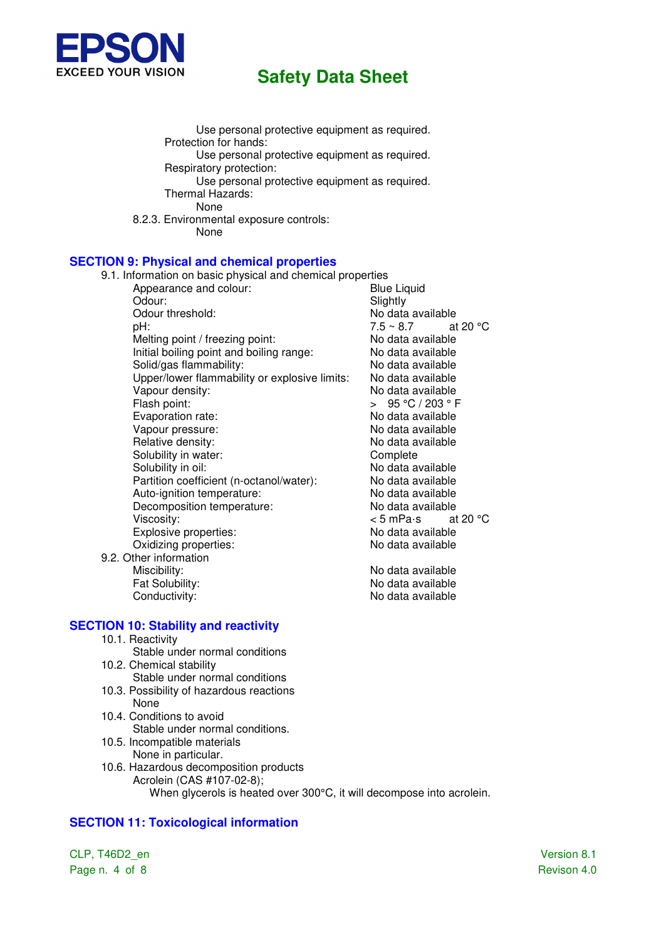

Use personal protective equipment as required. Protection for hands: Use personal protective equipment as required. Respiratory protection: Use personal protective equipment as required. Thermal Hazards: None 8.2.3. Environmental exposure controls: None

### **SECTION 9: Physical and chemical properties**

9.1. Information on basic physical and chemical properties Appearance and colour: Odour: Slightly Odour threshold:  $D = 7.5 \times 8.7$  at No data available  $pH$ :  $7.5 \sim 8.7$  at 20 °C Melting point / freezing point: No data available Initial boiling point and boiling range:<br>Solid/aas flammability: No data available Solid/gas flammability: Upper/lower flammability or explosive limits: No data available Vapour density: No data available Flash point:  $\overline{ }$   $> 95 °C / 203 °F$ Evaporation rate: No data available Vapour pressure: No data available Relative density: No data available Solubility in water: Complete Solubility in oil: No data available Partition coefficient (n-octanol/water): No data available Auto-ignition temperature:<br>
Decomposition temperature:<br>
No data available Decomposition temperature:<br>Viscosity:  $\leq 5$  mPa·s at 20 °C Viscosity:<br>
Explosive properties:<br>
Explosive properties:<br>
All and available Explosive properties: Oxidizing properties: No data available 9.2. Other information Miscibility: No data available Fat Solubility: The Contract of the No data available Conductivity: Conductivity: Conductivity:

#### **SECTION 10: Stability and reactivity**

- 10.1. Reactivity
- Stable under normal conditions 10.2. Chemical stability
- Stable under normal conditions
- 10.3. Possibility of hazardous reactions None
- 10.4. Conditions to avoid Stable under normal conditions.
- 10.5. Incompatible materials None in particular.
- 10.6. Hazardous decomposition products Acrolein (CAS #107-02-8); When glycerols is heated over 300°C, it will decompose into acrolein.

## **SECTION 11: Toxicological information**

CLP, T46D2\_en Version 8.1 Page n. 4 of 8 Revison 4.0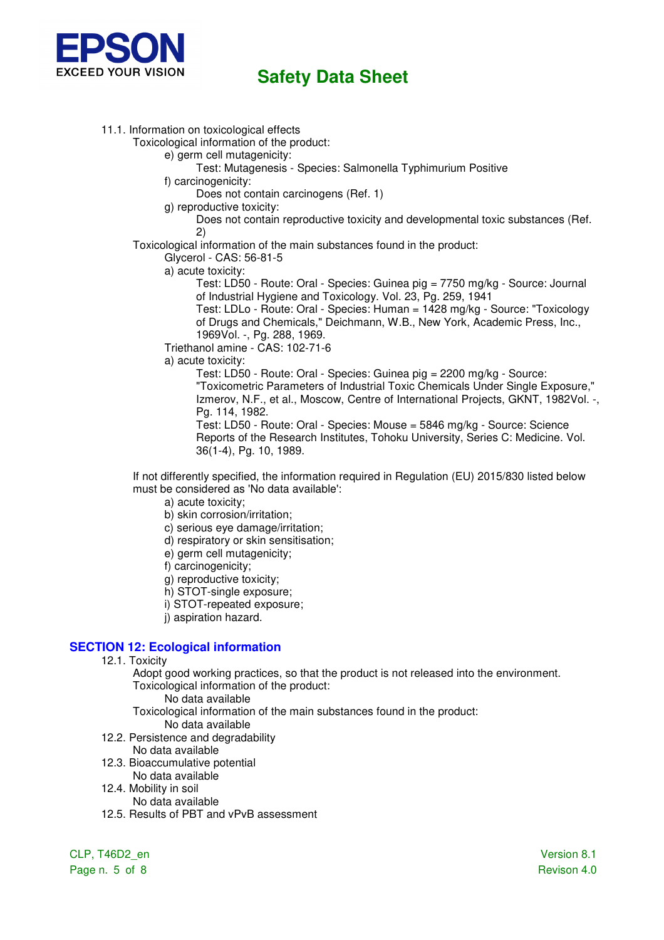

11.1. Information on toxicological effects

Toxicological information of the product:

- e) germ cell mutagenicity:
	- Test: Mutagenesis Species: Salmonella Typhimurium Positive
- f) carcinogenicity:
	- Does not contain carcinogens (Ref. 1)
- g) reproductive toxicity:

 Does not contain reproductive toxicity and developmental toxic substances (Ref. 2)

Toxicological information of the main substances found in the product:

Glycerol - CAS: 56-81-5

a) acute toxicity:

Test: LD50 - Route: Oral - Species: Guinea pig = 7750 mg/kg - Source: Journal of Industrial Hygiene and Toxicology. Vol. 23, Pg. 259, 1941

Test: LDLo - Route: Oral - Species: Human = 1428 mg/kg - Source: "Toxicology of Drugs and Chemicals," Deichmann, W.B., New York, Academic Press, Inc., 1969Vol. -, Pg. 288, 1969.

Triethanol amine - CAS: 102-71-6

a) acute toxicity:

Test: LD50 - Route: Oral - Species: Guinea pig = 2200 mg/kg - Source: "Toxicometric Parameters of Industrial Toxic Chemicals Under Single Exposure," Izmerov, N.F., et al., Moscow, Centre of International Projects, GKNT, 1982Vol. -, Pg. 114, 1982. Test: LD50 - Route: Oral - Species: Mouse = 5846 mg/kg - Source: Science

Reports of the Research Institutes, Tohoku University, Series C: Medicine. Vol. 36(1-4), Pg. 10, 1989.

If not differently specified, the information required in Regulation (EU) 2015/830 listed below must be considered as 'No data available':

a) acute toxicity;

b) skin corrosion/irritation;

- c) serious eye damage/irritation;
- d) respiratory or skin sensitisation;
- e) germ cell mutagenicity;

f) carcinogenicity;

g) reproductive toxicity;

h) STOT-single exposure;

- i) STOT-repeated exposure;
- i) aspiration hazard.

### **SECTION 12: Ecological information**

12.1. Toxicity

Adopt good working practices, so that the product is not released into the environment. Toxicological information of the product:

No data available

Toxicological information of the main substances found in the product: No data available

- 12.2. Persistence and degradability
	- No data available
- 12.3. Bioaccumulative potential
- No data available
- 12.4. Mobility in soil No data available
- 12.5. Results of PBT and vPvB assessment

CLP, T46D2\_en Version 8.1 Page n. 5 of 8 Revison 4.0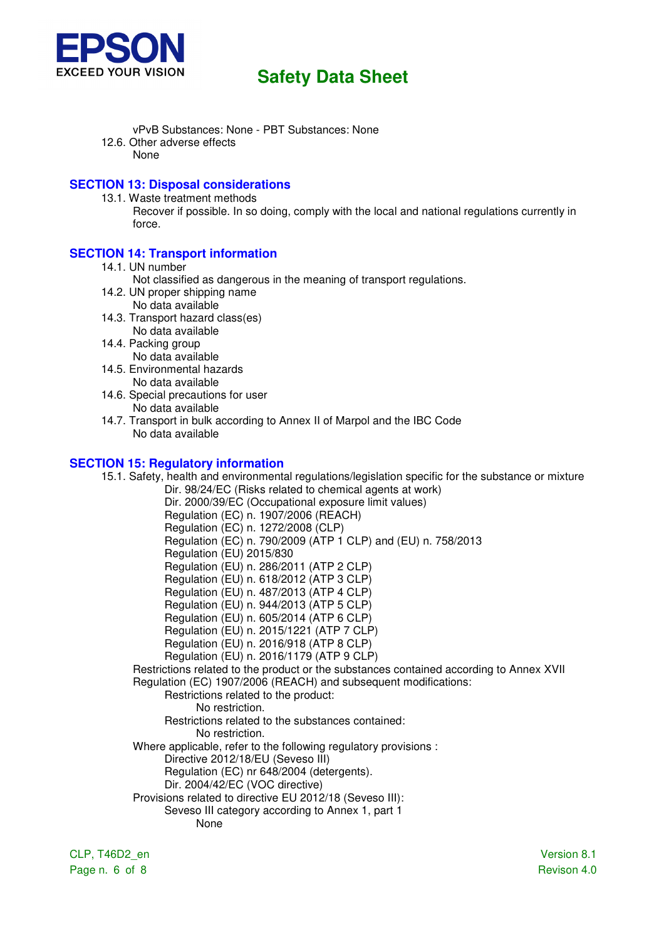

- vPvB Substances: None PBT Substances: None
- 12.6. Other adverse effects None

### **SECTION 13: Disposal considerations**

13.1. Waste treatment methods

Recover if possible. In so doing, comply with the local and national regulations currently in force.

### **SECTION 14: Transport information**

- 14.1. UN number
	- Not classified as dangerous in the meaning of transport regulations.
- 14.2. UN proper shipping name No data available
- 14.3. Transport hazard class(es) No data available
- 14.4. Packing group No data available
- 14.5. Environmental hazards No data available
- 14.6. Special precautions for user No data available
- 14.7. Transport in bulk according to Annex II of Marpol and the IBC Code No data available

## **SECTION 15: Regulatory information**

15.1. Safety, health and environmental regulations/legislation specific for the substance or mixture Dir. 98/24/EC (Risks related to chemical agents at work) Dir. 2000/39/EC (Occupational exposure limit values) Regulation (EC) n. 1907/2006 (REACH) Regulation (EC) n. 1272/2008 (CLP) Regulation (EC) n. 790/2009 (ATP 1 CLP) and (EU) n. 758/2013 Regulation (EU) 2015/830 Regulation (EU) n. 286/2011 (ATP 2 CLP) Regulation (EU) n. 618/2012 (ATP 3 CLP) Regulation (EU) n. 487/2013 (ATP 4 CLP) Regulation (EU) n. 944/2013 (ATP 5 CLP) Regulation (EU) n. 605/2014 (ATP 6 CLP) Regulation (EU) n. 2015/1221 (ATP 7 CLP) Regulation (EU) n. 2016/918 (ATP 8 CLP) Regulation (EU) n. 2016/1179 (ATP 9 CLP) Restrictions related to the product or the substances contained according to Annex XVII Regulation (EC) 1907/2006 (REACH) and subsequent modifications: Restrictions related to the product: No restriction. Restrictions related to the substances contained: No restriction. Where applicable, refer to the following regulatory provisions : Directive 2012/18/EU (Seveso III) Regulation (EC) nr 648/2004 (detergents). Dir. 2004/42/EC (VOC directive) Provisions related to directive EU 2012/18 (Seveso III): Seveso III category according to Annex 1, part 1 None

CLP, T46D2\_en Version 8.1 Page n. 6 of 8 Revison 4.0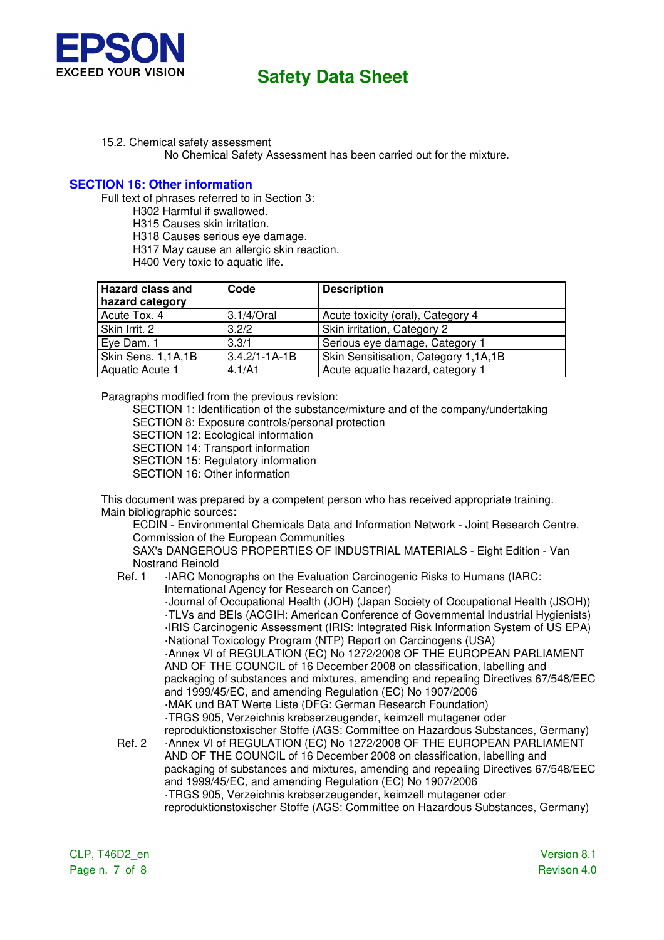

15.2. Chemical safety assessment No Chemical Safety Assessment has been carried out for the mixture.

#### **SECTION 16: Other information**

Full text of phrases referred to in Section 3:

H302 Harmful if swallowed.

H315 Causes skin irritation.

H318 Causes serious eye damage.

H317 May cause an allergic skin reaction.

H400 Very toxic to aquatic life.

| <b>Hazard class and</b> | Code                | <b>Description</b>                   |
|-------------------------|---------------------|--------------------------------------|
| hazard category         |                     |                                      |
| Acute Tox. 4            | $3.1/4$ /Oral       | Acute toxicity (oral), Category 4    |
| Skin Irrit. 2           | 3.2/2               | Skin irritation, Category 2          |
| Eye Dam. 1              | 3.3/1               | Serious eye damage, Category 1       |
| Skin Sens. 1,1A,1B      | $3.4.2/1 - 1A - 1B$ | Skin Sensitisation, Category 1,1A,1B |
| Aquatic Acute 1         | 4.1/A1              | Acute aquatic hazard, category 1     |

Paragraphs modified from the previous revision:

SECTION 1: Identification of the substance/mixture and of the company/undertaking SECTION 8: Exposure controls/personal protection

SECTION 12: Ecological information

SECTION 14: Transport information SECTION 15: Regulatory information

SECTION 16: Other information

This document was prepared by a competent person who has received appropriate training. Main bibliographic sources:

ECDIN - Environmental Chemicals Data and Information Network - Joint Research Centre, Commission of the European Communities

SAX's DANGEROUS PROPERTIES OF INDUSTRIAL MATERIALS - Eight Edition - Van Nostrand Reinold

#### Ref. 1 · IARC Monographs on the Evaluation Carcinogenic Risks to Humans (IARC: International Agency for Research on Cancer)

 ·Journal of Occupational Health (JOH) (Japan Society of Occupational Health (JSOH)) ·TLVs and BEIs (ACGIH: American Conference of Governmental Industrial Hygienists) ·IRIS Carcinogenic Assessment (IRIS: Integrated Risk Information System of US EPA) ·National Toxicology Program (NTP) Report on Carcinogens (USA)

 ·Annex VI of REGULATION (EC) No 1272/2008 OF THE EUROPEAN PARLIAMENT AND OF THE COUNCIL of 16 December 2008 on classification, labelling and packaging of substances and mixtures, amending and repealing Directives 67/548/EEC and 1999/45/EC, and amending Regulation (EC) No 1907/2006 ·MAK und BAT Werte Liste (DFG: German Research Foundation)

- ·TRGS 905, Verzeichnis krebserzeugender, keimzell mutagener oder reproduktionstoxischer Stoffe (AGS: Committee on Hazardous Substances, Germany)
- Ref. 2 ·Annex VI of REGULATION (EC) No 1272/2008 OF THE EUROPEAN PARLIAMENT AND OF THE COUNCIL of 16 December 2008 on classification, labelling and packaging of substances and mixtures, amending and repealing Directives 67/548/EEC and 1999/45/EC, and amending Regulation (EC) No 1907/2006 ·TRGS 905, Verzeichnis krebserzeugender, keimzell mutagener oder reproduktionstoxischer Stoffe (AGS: Committee on Hazardous Substances, Germany)